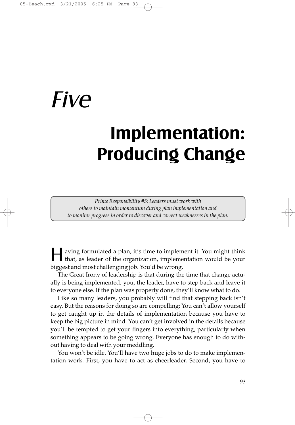# Five

## **Implementation: Producing Change**

*Prime Responsibility #5: Leaders must work with others to maintain momentum during plan implementation and to monitor progress in order to discover and correct weaknesses in the plan.*

Having formulated a plan, it's time to implement it. You might think that, as leader of the organization, implementation would be your biggest and most challenging job. You'd be wrong.

The Great Irony of leadership is that during the time that change actually is being implemented, you, the leader, have to step back and leave it to everyone else. If the plan was properly done, they'll know what to do.

Like so many leaders, you probably will find that stepping back isn't easy. But the reasons for doing so are compelling: You can't allow yourself to get caught up in the details of implementation because you have to keep the big picture in mind. You can't get involved in the details because you'll be tempted to get your fingers into everything, particularly when something appears to be going wrong. Everyone has enough to do without having to deal with your meddling.

You won't be idle. You'll have two huge jobs to do to make implementation work. First, you have to act as cheerleader. Second, you have to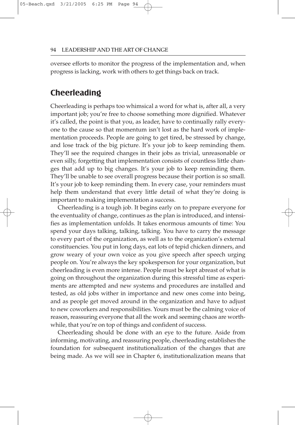

oversee efforts to monitor the progress of the implementation and, when progress is lacking, work with others to get things back on track.

## **Cheerleading**

Cheerleading is perhaps too whimsical a word for what is, after all, a very important job; you're free to choose something more dignified. Whatever it's called, the point is that you, as leader, have to continually rally everyone to the cause so that momentum isn't lost as the hard work of implementation proceeds. People are going to get tired, be stressed by change, and lose track of the big picture. It's your job to keep reminding them. They'll see the required changes in their jobs as trivial, unreasonable or even silly, forgetting that implementation consists of countless little changes that add up to big changes. It's your job to keep reminding them. They'll be unable to see overall progress because their portion is so small. It's your job to keep reminding them. In every case, your reminders must help them understand that every little detail of what they're doing is important to making implementation a success.

Cheerleading is a tough job. It begins early on to prepare everyone for the eventuality of change, continues as the plan is introduced, and intensifies as implementation unfolds. It takes enormous amounts of time: You spend your days talking, talking, talking. You have to carry the message to every part of the organization, as well as to the organization's external constituencies. You put in long days, eat lots of tepid chicken dinners, and grow weary of your own voice as you give speech after speech urging people on. You're always the key spokesperson for your organization, but cheerleading is even more intense. People must be kept abreast of what is going on throughout the organization during this stressful time as experiments are attempted and new systems and procedures are installed and tested, as old jobs wither in importance and new ones come into being, and as people get moved around in the organization and have to adjust to new coworkers and responsibilities. Yours must be the calming voice of reason, reassuring everyone that all the work and seeming chaos are worthwhile, that you're on top of things and confident of success.

Cheerleading should be done with an eye to the future. Aside from informing, motivating, and reassuring people, cheerleading establishes the foundation for subsequent institutionalization of the changes that are being made. As we will see in Chapter 6, institutionalization means that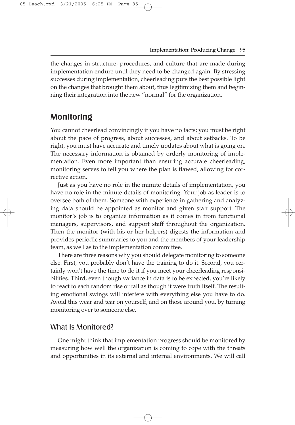the changes in structure, procedures, and culture that are made during implementation endure until they need to be changed again. By stressing successes during implementation, cheerleading puts the best possible light on the changes that brought them about, thus legitimizing them and beginning their integration into the new "normal" for the organization.

## **Monitoring**

05-Beach.qxd 3/21/2005 6:25 PM

You cannot cheerlead convincingly if you have no facts; you must be right about the pace of progress, about successes, and about setbacks. To be right, you must have accurate and timely updates about what is going on. The necessary information is obtained by orderly monitoring of implementation. Even more important than ensuring accurate cheerleading, monitoring serves to tell you where the plan is flawed, allowing for corrective action.

Just as you have no role in the minute details of implementation, you have no role in the minute details of monitoring. Your job as leader is to oversee both of them. Someone with experience in gathering and analyzing data should be appointed as monitor and given staff support. The monitor's job is to organize information as it comes in from functional managers, supervisors, and support staff throughout the organization. Then the monitor (with his or her helpers) digests the information and provides periodic summaries to you and the members of your leadership team, as well as to the implementation committee.

There are three reasons why you should delegate monitoring to someone else. First, you probably don't have the training to do it. Second, you certainly won't have the time to do it if you meet your cheerleading responsibilities. Third, even though variance in data is to be expected, you're likely to react to each random rise or fall as though it were truth itself. The resulting emotional swings will interfere with everything else you have to do. Avoid this wear and tear on yourself, and on those around you, by turning monitoring over to someone else.

## What Is Monitored?

One might think that implementation progress should be monitored by measuring how well the organization is coming to cope with the threats and opportunities in its external and internal environments. We will call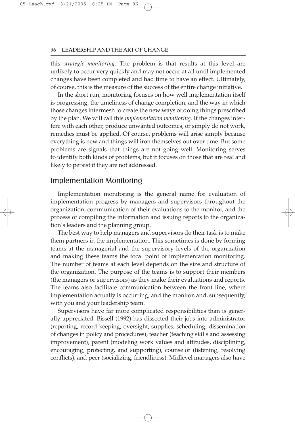this *strategic monitoring.* The problem is that results at this level are unlikely to occur very quickly and may not occur at all until implemented changes have been completed and had time to have an effect. Ultimately, of course, this is the measure of the success of the entire change initiative.

In the short run, monitoring focuses on how well implementation itself is progressing, the timeliness of change completion, and the way in which those changes intermesh to create the new ways of doing things prescribed by the plan. We will call this *implementation monitoring.* If the changes interfere with each other, produce unwanted outcomes, or simply do not work, remedies must be applied. Of course, problems will arise simply because everything is new and things will iron themselves out over time. But some problems are signals that things are not going well. Monitoring serves to identify both kinds of problems, but it focuses on those that are real and likely to persist if they are not addressed.

## Implementation Monitoring

Implementation monitoring is the general name for evaluation of implementation progress by managers and supervisors throughout the organization, communication of their evaluations to the monitor, and the process of compiling the information and issuing reports to the organization's leaders and the planning group.

The best way to help managers and supervisors do their task is to make them partners in the implementation. This sometimes is done by forming teams at the managerial and the supervisory levels of the organization and making these teams the focal point of implementation monitoring. The number of teams at each level depends on the size and structure of the organization. The purpose of the teams is to support their members (the managers or supervisors) as they make their evaluations and reports. The teams also facilitate communication between the front line, where implementation actually is occurring, and the monitor, and, subsequently, with you and your leadership team.

Supervisors have far more complicated responsibilities than is generally appreciated. Bissell (1992) has dissected their jobs into administrator (reporting, record keeping, oversight, supplies, scheduling, dissemination of changes in policy and procedures), teacher (teaching skills and assessing improvement), parent (modeling work values and attitudes, disciplining, encouraging, protecting, and supporting), counselor (listening, resolving conflicts), and peer (socializing, friendliness). Midlevel managers also have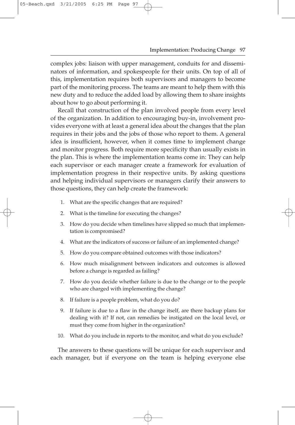complex jobs: liaison with upper management, conduits for and disseminators of information, and spokespeople for their units. On top of all of this, implementation requires both supervisors and managers to become part of the monitoring process. The teams are meant to help them with this new duty and to reduce the added load by allowing them to share insights about how to go about performing it.

Recall that construction of the plan involved people from every level of the organization. In addition to encouraging buy-in, involvement provides everyone with at least a general idea about the changes that the plan requires in their jobs and the jobs of those who report to them. A general idea is insufficient, however, when it comes time to implement change and monitor progress. Both require more specificity than usually exists in the plan. This is where the implementation teams come in: They can help each supervisor or each manager create a framework for evaluation of implementation progress in their respective units. By asking questions and helping individual supervisors or managers clarify their answers to those questions, they can help create the framework:

1. What are the specific changes that are required?

05-Beach.qxd 3/21/2005 6:25 PM

- 2. What is the timeline for executing the changes?
- 3. How do you decide when timelines have slipped so much that implementation is compromised?
- 4. What are the indicators of success or failure of an implemented change?
- 5. How do you compare obtained outcomes with those indicators?
- 6. How much misalignment between indicators and outcomes is allowed before a change is regarded as failing?
- 7. How do you decide whether failure is due to the change or to the people who are charged with implementing the change?
- 8. If failure is a people problem, what do you do?
- 9. If failure is due to a flaw in the change itself, are there backup plans for dealing with it? If not, can remedies be instigated on the local level, or must they come from higher in the organization?
- 10. What do you include in reports to the monitor, and what do you exclude?

The answers to these questions will be unique for each supervisor and each manager, but if everyone on the team is helping everyone else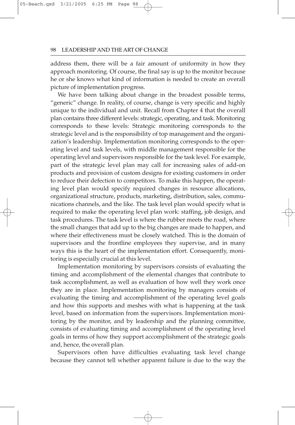address them, there will be a fair amount of uniformity in how they approach monitoring. Of course, the final say is up to the monitor because he or she knows what kind of information is needed to create an overall picture of implementation progress.

We have been talking about change in the broadest possible terms, "generic" change. In reality, of course, change is very specific and highly unique to the individual and unit. Recall from Chapter 4 that the overall plan contains three different levels: strategic, operating, and task. Monitoring corresponds to these levels: Strategic monitoring corresponds to the strategic level and is the responsibility of top management and the organization's leadership. Implementation monitoring corresponds to the operating level and task levels, with middle management responsible for the operating level and supervisors responsible for the task level. For example, part of the strategic level plan may call for increasing sales of add-on products and provision of custom designs for existing customers in order to reduce their defection to competitors. To make this happen, the operating level plan would specify required changes in resource allocations, organizational structure, products, marketing, distribution, sales, communications channels, and the like. The task level plan would specify what is required to make the operating level plan work: staffing, job design, and task procedures. The task level is where the rubber meets the road, where the small changes that add up to the big changes are made to happen, and where their effectiveness must be closely watched. This is the domain of supervisors and the frontline employees they supervise, and in many ways this is the heart of the implementation effort. Consequently, monitoring is especially crucial at this level.

Implementation monitoring by supervisors consists of evaluating the timing and accomplishment of the elemental changes that contribute to task accomplishment, as well as evaluation of how well they work once they are in place. Implementation monitoring by managers consists of evaluating the timing and accomplishment of the operating level goals and how this supports and meshes with what is happening at the task level, based on information from the supervisors. Implementation monitoring by the monitor, and by leadership and the planning committee, consists of evaluating timing and accomplishment of the operating level goals in terms of how they support accomplishment of the strategic goals and, hence, the overall plan.

Supervisors often have difficulties evaluating task level change because they cannot tell whether apparent failure is due to the way the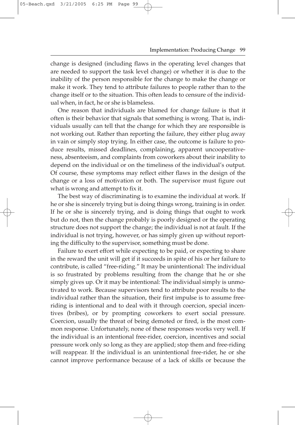change is designed (including flaws in the operating level changes that are needed to support the task level change) or whether it is due to the inability of the person responsible for the change to make the change or make it work. They tend to attribute failures to people rather than to the change itself or to the situation. This often leads to censure of the individual when, in fact, he or she is blameless.

One reason that individuals are blamed for change failure is that it often is their behavior that signals that something is wrong. That is, individuals usually can tell that the change for which they are responsible is not working out. Rather than reporting the failure, they either plug away in vain or simply stop trying. In either case, the outcome is failure to produce results, missed deadlines, complaining, apparent uncooperativeness, absenteeism, and complaints from coworkers about their inability to depend on the individual or on the timeliness of the individual's output. Of course, these symptoms may reflect either flaws in the design of the change or a loss of motivation or both. The supervisor must figure out what is wrong and attempt to fix it.

The best way of discriminating is to examine the individual at work. If he or she is sincerely trying but is doing things wrong, training is in order. If he or she is sincerely trying, and is doing things that ought to work but do not, then the change probably is poorly designed or the operating structure does not support the change; the individual is not at fault. If the individual is not trying, however, or has simply given up without reporting the difficulty to the supervisor, something must be done.

Failure to exert effort while expecting to be paid, or expecting to share in the reward the unit will get if it succeeds in spite of his or her failure to contribute, is called "free-riding." It may be unintentional: The individual is so frustrated by problems resulting from the change that he or she simply gives up. Or it may be intentional: The individual simply is unmotivated to work. Because supervisors tend to attribute poor results to the individual rather than the situation, their first impulse is to assume freeriding is intentional and to deal with it through coercion, special incentives (bribes), or by prompting coworkers to exert social pressure. Coercion, usually the threat of being demoted or fired, is the most common response. Unfortunately, none of these responses works very well. If the individual is an intentional free-rider, coercion, incentives and social pressure work only so long as they are applied; stop them and free-riding will reappear. If the individual is an unintentional free-rider, he or she cannot improve performance because of a lack of skills or because the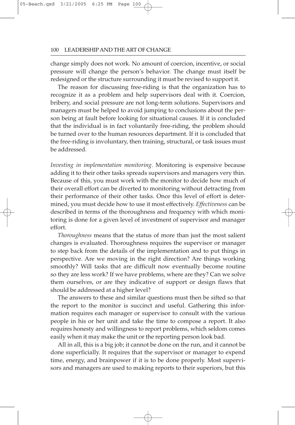change simply does not work. No amount of coercion, incentive, or social pressure will change the person's behavior. The change must itself be redesigned or the structure surrounding it must be revised to support it.

The reason for discussing free-riding is that the organization has to recognize it as a problem and help supervisors deal with it. Coercion, bribery, and social pressure are not long-term solutions. Supervisors and managers must be helped to avoid jumping to conclusions about the person being at fault before looking for situational causes. If it is concluded that the individual is in fact voluntarily free-riding, the problem should be turned over to the human resources department. If it is concluded that the free-riding is involuntary, then training, structural, or task issues must be addressed.

*Investing in implementation monitoring.* Monitoring is expensive because adding it to their other tasks spreads supervisors and managers very thin. Because of this, you must work with the monitor to decide how much of their overall effort can be diverted to monitoring without detracting from their performance of their other tasks. Once this level of effort is determined, you must decide how to use it most effectively. *Effectiveness* can be described in terms of the thoroughness and frequency with which monitoring is done for a given level of investment of supervisor and manager effort.

*Thoroughness* means that the status of more than just the most salient changes is evaluated. Thoroughness requires the supervisor or manager to step back from the details of the implementation and to put things in perspective. Are we moving in the right direction? Are things working smoothly? Will tasks that are difficult now eventually become routine so they are less work? If we have problems, where are they? Can we solve them ourselves, or are they indicative of support or design flaws that should be addressed at a higher level?

The answers to these and similar questions must then be sifted so that the report to the monitor is succinct and useful. Gathering this information requires each manager or supervisor to consult with the various people in his or her unit and take the time to compose a report. It also requires honesty and willingness to report problems, which seldom comes easily when it may make the unit or the reporting person look bad.

All in all, this is a big job; it cannot be done on the run, and it cannot be done superficially. It requires that the supervisor or manager to expend time, energy, and brainpower if it is to be done properly. Most supervisors and managers are used to making reports to their superiors, but this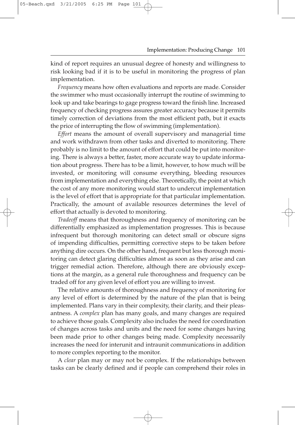kind of report requires an unusual degree of honesty and willingness to risk looking bad if it is to be useful in monitoring the progress of plan implementation.

*Frequency* means how often evaluations and reports are made. Consider the swimmer who must occasionally interrupt the routine of swimming to look up and take bearings to gage progress toward the finish line. Increased frequency of checking progress assures greater accuracy because it permits timely correction of deviations from the most efficient path, but it exacts the price of interrupting the flow of swimming (implementation).

*Effort* means the amount of overall supervisory and managerial time and work withdrawn from other tasks and diverted to monitoring. There probably is no limit to the amount of effort that could be put into monitoring. There is always a better, faster, more accurate way to update information about progress. There has to be a limit, however, to how much will be invested, or monitoring will consume everything, bleeding resources from implementation and everything else. Theoretically, the point at which the cost of any more monitoring would start to undercut implementation is the level of effort that is appropriate for that particular implementation. Practically, the amount of available resources determines the level of effort that actually is devoted to monitoring.

*Tradeoff* means that thoroughness and frequency of monitoring can be differentially emphasized as implementation progresses. This is because infrequent but thorough monitoring can detect small or obscure signs of impending difficulties, permitting corrective steps to be taken before anything dire occurs. On the other hand, frequent but less thorough monitoring can detect glaring difficulties almost as soon as they arise and can trigger remedial action. Therefore, although there are obviously exceptions at the margin, as a general rule thoroughness and frequency can be traded off for any given level of effort you are willing to invest.

The relative amounts of thoroughness and frequency of monitoring for any level of effort is determined by the nature of the plan that is being implemented. Plans vary in their complexity, their clarity, and their pleasantness. A *complex* plan has many goals, and many changes are required to achieve those goals. Complexity also includes the need for coordination of changes across tasks and units and the need for some changes having been made prior to other changes being made. Complexity necessarily increases the need for interunit and intraunit communications in addition to more complex reporting to the monitor.

A *clear* plan may or may not be complex. If the relationships between tasks can be clearly defined and if people can comprehend their roles in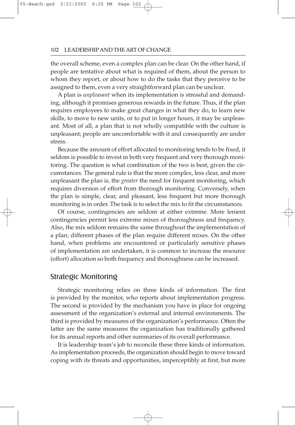the overall scheme, even a complex plan can be clear. On the other hand, if people are tentative about what is required of them, about the person to whom they report, or about how to do the tasks that they perceive to be assigned to them, even a very straightforward plan can be unclear.

A plan is *unpleasant* when its implementation is stressful and demanding, although it promises generous rewards in the future. Thus, if the plan requires employees to make great changes in what they do, to learn new skills, to move to new units, or to put in longer hours, it may be unpleasant. Most of all, a plan that is not wholly compatible with the culture is unpleasant; people are uncomfortable with it and consequently are under stress.

Because the amount of effort allocated to monitoring tends to be fixed, it seldom is possible to invest in both very frequent and very thorough monitoring. The question is what combination of the two is best, given the circumstances. The general rule is that the more complex, less clear, and more unpleasant the plan is, the *greater* the need for frequent monitoring, which requires diversion of effort from thorough monitoring. Conversely, when the plan is simple, clear, and pleasant, less frequent but more thorough monitoring is in order. The task is to select the mix to fit the circumstances.

Of course, contingencies are seldom at either extreme. More lenient contingencies permit less extreme mixes of thoroughness and frequency. Also, the mix seldom remains the same throughout the implementation of a plan; different phases of the plan require different mixes. On the other hand, when problems are encountered or particularly sensitive phases of implementation are undertaken, it is common to increase the resource (effort) allocation so both frequency and thoroughness can be increased.

## Strategic Monitoring

Strategic monitoring relies on three kinds of information. The first is provided by the monitor, who reports about implementation progress. The second is provided by the mechanism you have in place for ongoing assessment of the organization's external and internal environments. The third is provided by measures of the organization's performance. Often the latter are the same measures the organization has traditionally gathered for its annual reports and other summaries of its overall performance.

It is leadership team's job to reconcile these three kinds of information. As implementation proceeds, the organization should begin to move toward coping with its threats and opportunities, imperceptibly at first, but more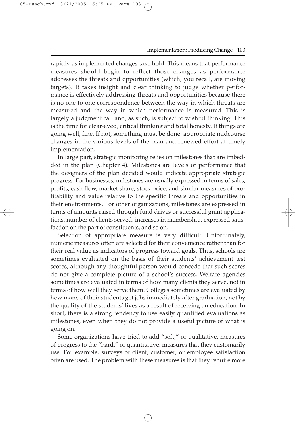rapidly as implemented changes take hold. This means that performance measures should begin to reflect those changes as performance addresses the threats and opportunities (which, you recall, are moving targets). It takes insight and clear thinking to judge whether performance is effectively addressing threats and opportunities because there is no one-to-one correspondence between the way in which threats are measured and the way in which performance is measured. This is largely a judgment call and, as such, is subject to wishful thinking. This is the time for clear-eyed, critical thinking and total honesty. If things are going well, fine. If not, something must be done: appropriate midcourse changes in the various levels of the plan and renewed effort at timely implementation.

05-Beach.qxd 3/21/2005 6:25 PM

In large part, strategic monitoring relies on milestones that are imbedded in the plan (Chapter 4). Milestones are levels of performance that the designers of the plan decided would indicate appropriate strategic progress. For businesses, milestones are usually expressed in terms of sales, profits, cash flow, market share, stock price, and similar measures of profitability and value relative to the specific threats and opportunities in their environments. For other organizations, milestones are expressed in terms of amounts raised through fund drives or successful grant applications, number of clients served, increases in membership, expressed satisfaction on the part of constituents, and so on.

Selection of appropriate measure is very difficult. Unfortunately, numeric measures often are selected for their convenience rather than for their real value as indicators of progress toward goals. Thus, schools are sometimes evaluated on the basis of their students' achievement test scores, although any thoughtful person would concede that such scores do not give a complete picture of a school's success. Welfare agencies sometimes are evaluated in terms of how many clients they serve, not in terms of how well they serve them. Colleges sometimes are evaluated by how many of their students get jobs immediately after graduation, not by the quality of the students' lives as a result of receiving an education. In short, there is a strong tendency to use easily quantified evaluations as milestones, even when they do not provide a useful picture of what is going on.

Some organizations have tried to add "soft," or qualitative, measures of progress to the "hard," or quantitative, measures that they customarily use. For example, surveys of client, customer, or employee satisfaction often are used. The problem with these measures is that they require more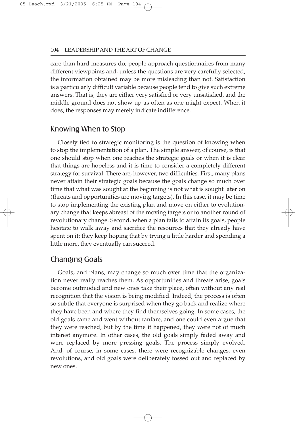care than hard measures do; people approach questionnaires from many different viewpoints and, unless the questions are very carefully selected, the information obtained may be more misleading than not. Satisfaction is a particularly difficult variable because people tend to give such extreme answers. That is, they are either very satisfied or very unsatisfied, and the middle ground does not show up as often as one might expect. When it does, the responses may merely indicate indifference.

## Knowing When to Stop

Closely tied to strategic monitoring is the question of knowing when to stop the implementation of a plan. The simple answer, of course, is that one should stop when one reaches the strategic goals or when it is clear that things are hopeless and it is time to consider a completely different strategy for survival. There are, however, two difficulties. First, many plans never attain their strategic goals because the goals change so much over time that what was sought at the beginning is not what is sought later on (threats and opportunities are moving targets). In this case, it may be time to stop implementing the existing plan and move on either to evolutionary change that keeps abreast of the moving targets or to another round of revolutionary change. Second, when a plan fails to attain its goals, people hesitate to walk away and sacrifice the resources that they already have spent on it; they keep hoping that by trying a little harder and spending a little more, they eventually can succeed.

## Changing Goals

Goals, and plans, may change so much over time that the organization never really reaches them. As opportunities and threats arise, goals become outmoded and new ones take their place, often without any real recognition that the vision is being modified. Indeed, the process is often so subtle that everyone is surprised when they go back and realize where they have been and where they find themselves going. In some cases, the old goals came and went without fanfare, and one could even argue that they were reached, but by the time it happened, they were not of much interest anymore. In other cases, the old goals simply faded away and were replaced by more pressing goals. The process simply evolved. And, of course, in some cases, there were recognizable changes, even revolutions, and old goals were deliberately tossed out and replaced by new ones.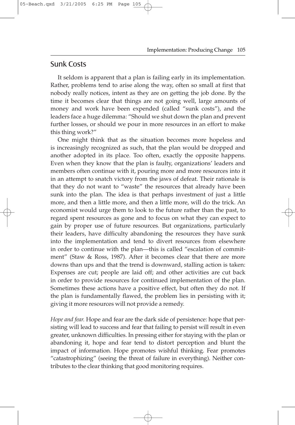## Sunk Costs

It seldom is apparent that a plan is failing early in its implementation. Rather, problems tend to arise along the way, often so small at first that nobody really notices, intent as they are on getting the job done. By the time it becomes clear that things are not going well, large amounts of money and work have been expended (called "sunk costs"), and the leaders face a huge dilemma: "Should we shut down the plan and prevent further losses, or should we pour in more resources in an effort to make this thing work?"

One might think that as the situation becomes more hopeless and is increasingly recognized as such, that the plan would be dropped and another adopted in its place. Too often, exactly the opposite happens. Even when they know that the plan is faulty, organizations' leaders and members often continue with it, pouring more and more resources into it in an attempt to snatch victory from the jaws of defeat. Their rationale is that they do not want to "waste" the resources that already have been sunk into the plan. The idea is that perhaps investment of just a little more, and then a little more, and then a little more, will do the trick. An economist would urge them to look to the future rather than the past, to regard spent resources as gone and to focus on what they can expect to gain by proper use of future resources. But organizations, particularly their leaders, have difficulty abandoning the resources they have sunk into the implementation and tend to divert resources from elsewhere in order to continue with the plan—this is called "escalation of commitment" (Staw & Ross, 1987). After it becomes clear that there are more downs than ups and that the trend is downward, stalling action is taken: Expenses are cut; people are laid off; and other activities are cut back in order to provide resources for continued implementation of the plan. Sometimes these actions have a positive effect, but often they do not. If the plan is fundamentally flawed, the problem lies in persisting with it; giving it more resources will not provide a remedy.

*Hope and fear.* Hope and fear are the dark side of persistence: hope that persisting will lead to success and fear that failing to persist will result in even greater, unknown difficulties. In pressing either for staying with the plan or abandoning it, hope and fear tend to distort perception and blunt the impact of information. Hope promotes wishful thinking. Fear promotes "catastrophizing" (seeing the threat of failure in everything). Neither contributes to the clear thinking that good monitoring requires.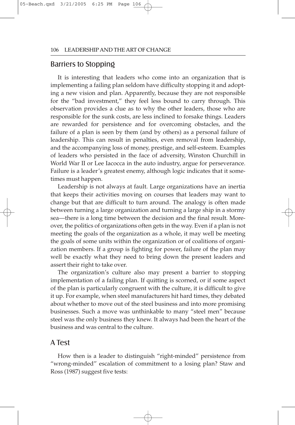## Barriers to Stopping

It is interesting that leaders who come into an organization that is implementing a failing plan seldom have difficulty stopping it and adopting a new vision and plan. Apparently, because they are not responsible for the "bad investment," they feel less bound to carry through. This observation provides a clue as to why the other leaders, those who are responsible for the sunk costs, are less inclined to forsake things. Leaders are rewarded for persistence and for overcoming obstacles, and the failure of a plan is seen by them (and by others) as a personal failure of leadership. This can result in penalties, even removal from leadership, and the accompanying loss of money, prestige, and self-esteem. Examples of leaders who persisted in the face of adversity, Winston Churchill in World War II or Lee Iacocca in the auto industry, argue for perseverance. Failure is a leader's greatest enemy, although logic indicates that it sometimes must happen.

Leadership is not always at fault. Large organizations have an inertia that keeps their activities moving on courses that leaders may want to change but that are difficult to turn around. The analogy is often made between turning a large organization and turning a large ship in a stormy sea—there is a long time between the decision and the final result. Moreover, the politics of organizations often gets in the way. Even if a plan is not meeting the goals of the organization as a whole, it may well be meeting the goals of some units within the organization or of coalitions of organization members. If a group is fighting for power, failure of the plan may well be exactly what they need to bring down the present leaders and assert their right to take over.

The organization's culture also may present a barrier to stopping implementation of a failing plan. If quitting is scorned, or if some aspect of the plan is particularly congruent with the culture, it is difficult to give it up. For example, when steel manufacturers hit hard times, they debated about whether to move out of the steel business and into more promising businesses. Such a move was unthinkable to many "steel men" because steel was the only business they knew. It always had been the heart of the business and was central to the culture.

## A Test

How then is a leader to distinguish "right-minded" persistence from "wrong-minded" escalation of commitment to a losing plan? Staw and Ross (1987) suggest five tests: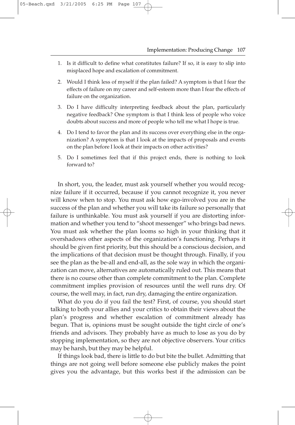1. Is it difficult to define what constitutes failure? If so, it is easy to slip into misplaced hope and escalation of commitment.

05-Beach.qxd 3/21/2005 6:25 PM

- 2. Would I think less of myself if the plan failed? A symptom is that I fear the effects of failure on my career and self-esteem more than I fear the effects of failure on the organization.
- 3. Do I have difficulty interpreting feedback about the plan, particularly negative feedback? One symptom is that I think less of people who voice doubts about success and more of people who tell me what I hope is true.
- 4. Do I tend to favor the plan and its success over everything else in the organization? A symptom is that I look at the impacts of proposals and events on the plan before I look at their impacts on other activities?
- 5. Do I sometimes feel that if this project ends, there is nothing to look forward to?

In short, you, the leader, must ask yourself whether you would recognize failure if it occurred, because if you cannot recognize it, you never will know when to stop. You must ask how ego-involved you are in the success of the plan and whether you will take its failure so personally that failure is unthinkable. You must ask yourself if you are distorting information and whether you tend to "shoot messenger" who brings bad news. You must ask whether the plan looms so high in your thinking that it overshadows other aspects of the organization's functioning. Perhaps it should be given first priority, but this should be a conscious decision, and the implications of that decision must be thought through. Finally, if you see the plan as the be-all and end-all, as the sole way in which the organization can move, alternatives are automatically ruled out. This means that there is no course other than complete commitment to the plan. Complete commitment implies provision of resources until the well runs dry. Of course, the well may, in fact, run dry, damaging the entire organization.

What do you do if you fail the test? First, of course, you should start talking to both your allies and your critics to obtain their views about the plan's progress and whether escalation of commitment already has begun. That is, opinions must be sought outside the tight circle of one's friends and advisors. They probably have as much to lose as you do by stopping implementation, so they are not objective observers. Your critics may be harsh, but they may be helpful.

If things look bad, there is little to do but bite the bullet. Admitting that things are not going well before someone else publicly makes the point gives you the advantage, but this works best if the admission can be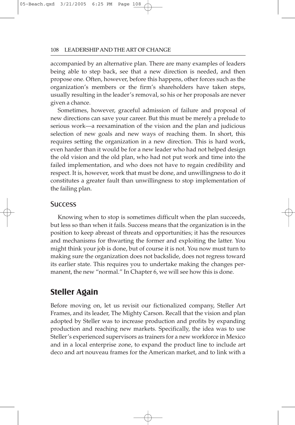accompanied by an alternative plan. There are many examples of leaders being able to step back, see that a new direction is needed, and then propose one. Often, however, before this happens, other forces such as the organization's members or the firm's shareholders have taken steps, usually resulting in the leader's removal, so his or her proposals are never given a chance.

Sometimes, however, graceful admission of failure and proposal of new directions can save your career. But this must be merely a prelude to serious work—a reexamination of the vision and the plan and judicious selection of new goals and new ways of reaching them. In short, this requires setting the organization in a new direction. This is hard work, even harder than it would be for a new leader who had not helped design the old vision and the old plan, who had not put work and time into the failed implementation, and who does not have to regain credibility and respect. It is, however, work that must be done, and unwillingness to do it constitutes a greater fault than unwillingness to stop implementation of the failing plan.

## **Success**

Knowing when to stop is sometimes difficult when the plan succeeds, but less so than when it fails. Success means that the organization is in the position to keep abreast of threats and opportunities; it has the resources and mechanisms for thwarting the former and exploiting the latter. You might think your job is done, but of course it is not. You now must turn to making sure the organization does not backslide, does not regress toward its earlier state. This requires you to undertake making the changes permanent, the new "normal." In Chapter 6, we will see how this is done.

## **Steller Again**

Before moving on, let us revisit our fictionalized company, Steller Art Frames, and its leader, The Mighty Carson. Recall that the vision and plan adopted by Steller was to increase production and profits by expanding production and reaching new markets. Specifically, the idea was to use Steller's experienced supervisors as trainers for a new workforce in Mexico and in a local enterprise zone, to expand the product line to include art deco and art nouveau frames for the American market, and to link with a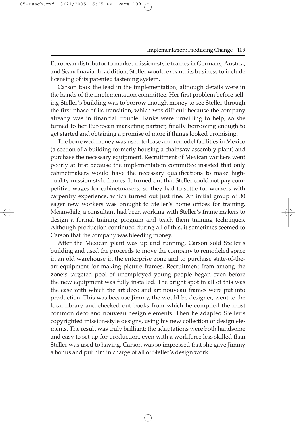European distributor to market mission-style frames in Germany, Austria, and Scandinavia. In addition, Steller would expand its business to include licensing of its patented fastening system.

Carson took the lead in the implementation, although details were in the hands of the implementation committee. Her first problem before selling Steller's building was to borrow enough money to see Steller through the first phase of its transition, which was difficult because the company already was in financial trouble. Banks were unwilling to help, so she turned to her European marketing partner, finally borrowing enough to get started and obtaining a promise of more if things looked promising.

The borrowed money was used to lease and remodel facilities in Mexico (a section of a building formerly housing a chainsaw assembly plant) and purchase the necessary equipment. Recruitment of Mexican workers went poorly at first because the implementation committee insisted that only cabinetmakers would have the necessary qualifications to make highquality mission-style frames. It turned out that Steller could not pay competitive wages for cabinetmakers, so they had to settle for workers with carpentry experience, which turned out just fine. An initial group of 30 eager new workers was brought to Steller's home offices for training. Meanwhile, a consultant had been working with Steller's frame makers to design a formal training program and teach them training techniques. Although production continued during all of this, it sometimes seemed to Carson that the company was bleeding money.

After the Mexican plant was up and running, Carson sold Steller's building and used the proceeds to move the company to remodeled space in an old warehouse in the enterprise zone and to purchase state-of-theart equipment for making picture frames. Recruitment from among the zone's targeted pool of unemployed young people began even before the new equipment was fully installed. The bright spot in all of this was the ease with which the art deco and art nouveau frames were put into production. This was because Jimmy, the would-be designer, went to the local library and checked out books from which he compiled the most common deco and nouveau design elements. Then he adapted Steller's copyrighted mission-style designs, using his new collection of design elements. The result was truly brilliant; the adaptations were both handsome and easy to set up for production, even with a workforce less skilled than Steller was used to having. Carson was so impressed that she gave Jimmy a bonus and put him in charge of all of Steller's design work.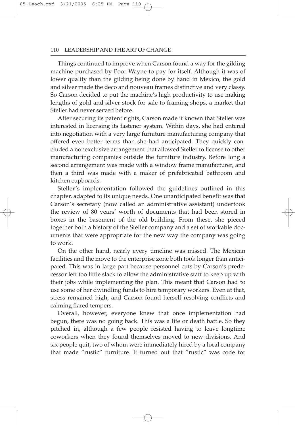Things continued to improve when Carson found a way for the gilding machine purchased by Poor Wayne to pay for itself. Although it was of lower quality than the gilding being done by hand in Mexico, the gold and silver made the deco and nouveau frames distinctive and very classy. So Carson decided to put the machine's high productivity to use making lengths of gold and silver stock for sale to framing shops, a market that Steller had never served before.

After securing its patent rights, Carson made it known that Steller was interested in licensing its fastener system. Within days, she had entered into negotiation with a very large furniture manufacturing company that offered even better terms than she had anticipated. They quickly concluded a nonexclusive arrangement that allowed Steller to license to other manufacturing companies outside the furniture industry. Before long a second arrangement was made with a window frame manufacturer, and then a third was made with a maker of prefabricated bathroom and kitchen cupboards.

Steller's implementation followed the guidelines outlined in this chapter, adapted to its unique needs. One unanticipated benefit was that Carson's secretary (now called an administrative assistant) undertook the review of 80 years' worth of documents that had been stored in boxes in the basement of the old building. From these, she pieced together both a history of the Steller company and a set of workable documents that were appropriate for the new way the company was going to work.

On the other hand, nearly every timeline was missed. The Mexican facilities and the move to the enterprise zone both took longer than anticipated. This was in large part because personnel cuts by Carson's predecessor left too little slack to allow the administrative staff to keep up with their jobs while implementing the plan. This meant that Carson had to use some of her dwindling funds to hire temporary workers. Even at that, stress remained high, and Carson found herself resolving conflicts and calming flared tempers.

Overall, however, everyone knew that once implementation had begun, there was no going back. This was a life or death battle. So they pitched in, although a few people resisted having to leave longtime coworkers when they found themselves moved to new divisions. And six people quit, two of whom were immediately hired by a local company that made "rustic" furniture. It turned out that "rustic" was code for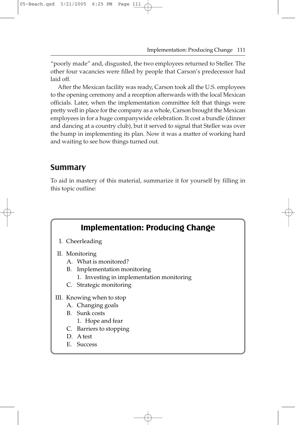"poorly made" and, disgusted, the two employees returned to Steller. The other four vacancies were filled by people that Carson's predecessor had laid off.

After the Mexican facility was ready, Carson took all the U.S. employees to the opening ceremony and a reception afterwards with the local Mexican officials. Later, when the implementation committee felt that things were pretty well in place for the company as a whole, Carson brought the Mexican employees in for a huge companywide celebration. It cost a bundle (dinner and dancing at a country club), but it served to signal that Steller was over the hump in implementing its plan. Now it was a matter of working hard and waiting to see how things turned out.

## **Summary**

To aid in mastery of this material, summarize it for yourself by filling in this topic outline:

## **Implementation: Producing Change**

- I. Cheerleading
- II. Monitoring
	- A. What is monitored?
	- B. Implementation monitoring
		- 1. Investing in implementation monitoring
	- C. Strategic monitoring
- III. Knowing when to stop
	- A. Changing goals
	- B. Sunk costs
		- 1. Hope and fear
	- C. Barriers to stopping
	- D. A test
	- E. Success